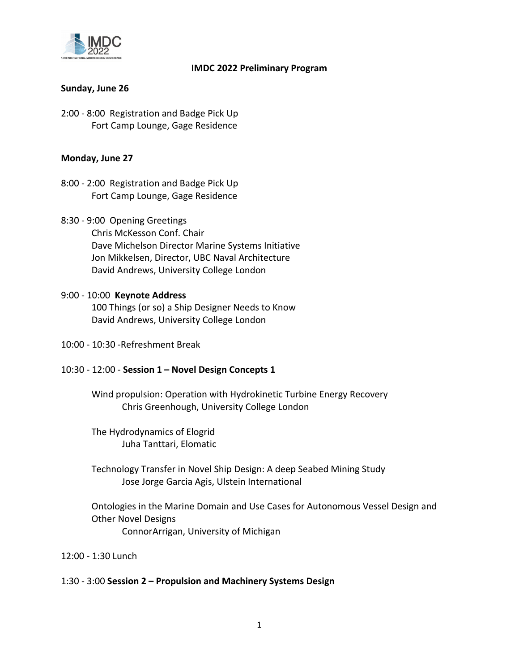

## **IMDC 2022 Preliminary Program**

## **Sunday, June 26**

2:00 ‐ 8:00 Registration and Badge Pick Up Fort Camp Lounge, Gage Residence

## **Monday, June 27**

- 8:00 ‐ 2:00 Registration and Badge Pick Up Fort Camp Lounge, Gage Residence
- 8:30 ‐ 9:00 Opening Greetings Chris McKesson Conf. Chair Dave Michelson Director Marine Systems Initiative Jon Mikkelsen, Director, UBC Naval Architecture David Andrews, University College London

# 9:00 ‐ 10:00 **Keynote Address**

100 Things (or so) a Ship Designer Needs to Know David Andrews, University College London

10:00 ‐ 10:30 ‐Refreshment Break

## 10:30 ‐ 12:00 ‐ **Session 1 – Novel Design Concepts 1**

Wind propulsion: Operation with Hydrokinetic Turbine Energy Recovery Chris Greenhough, University College London

The Hydrodynamics of Elogrid Juha Tanttari, Elomatic

Technology Transfer in Novel Ship Design: A deep Seabed Mining Study Jose Jorge Garcia Agis, Ulstein International

Ontologies in the Marine Domain and Use Cases for Autonomous Vessel Design and Other Novel Designs ConnorArrigan, University of Michigan

12:00 ‐ 1:30 Lunch

#### 1:30 ‐ 3:00 **Session 2 – Propulsion and Machinery Systems Design**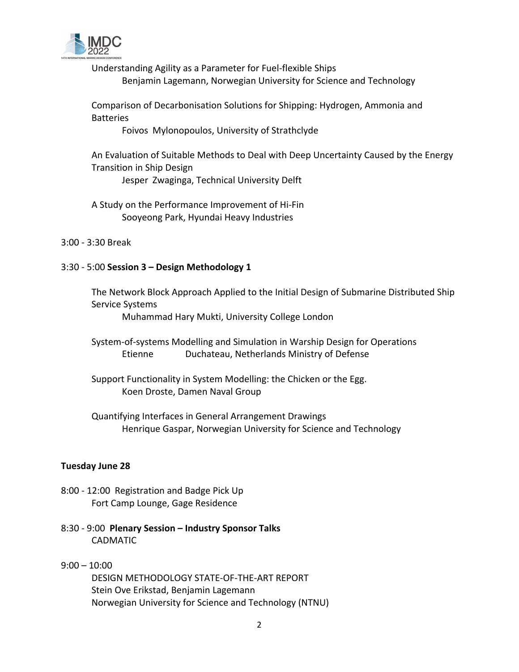

Understanding Agility as a Parameter for Fuel‐flexible Ships Benjamin Lagemann, Norwegian University for Science and Technology

Comparison of Decarbonisation Solutions for Shipping: Hydrogen, Ammonia and **Batteries** 

Foivos Mylonopoulos, University of Strathclyde

An Evaluation of Suitable Methods to Deal with Deep Uncertainty Caused by the Energy Transition in Ship Design Jesper Zwaginga, Technical University Delft

A Study on the Performance Improvement of Hi‐Fin Sooyeong Park, Hyundai Heavy Industries

3:00 ‐ 3:30 Break

## 3:30 ‐ 5:00 **Session 3 – Design Methodology 1**

The Network Block Approach Applied to the Initial Design of Submarine Distributed Ship Service Systems

Muhammad Hary Mukti, University College London

System‐of‐systems Modelling and Simulation in Warship Design for Operations Etienne Duchateau, Netherlands Ministry of Defense

Support Functionality in System Modelling: the Chicken or the Egg. Koen Droste, Damen Naval Group

Quantifying Interfaces in General Arrangement Drawings Henrique Gaspar, Norwegian University for Science and Technology

## **Tuesday June 28**

- 8:00 ‐ 12:00 Registration and Badge Pick Up Fort Camp Lounge, Gage Residence
- 8:30 ‐ 9:00 **Plenary Session – Industry Sponsor Talks** CADMATIC

## 9:00 – 10:00 DESIGN METHODOLOGY STATE‐OF‐THE‐ART REPORT Stein Ove Erikstad, Benjamin Lagemann Norwegian University for Science and Technology (NTNU)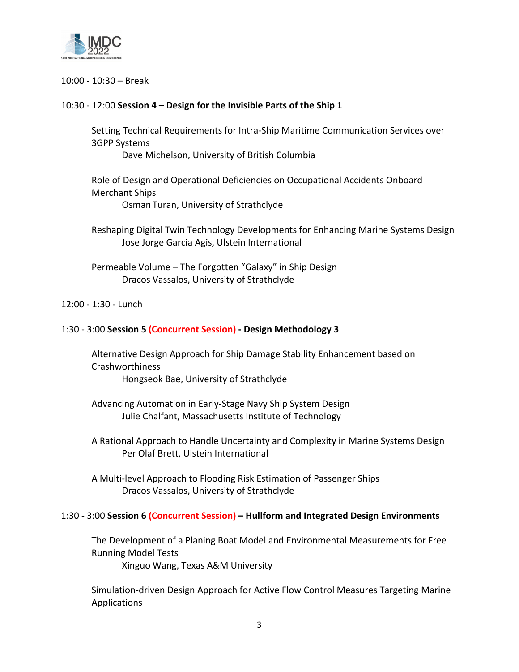

#### 10:00 ‐ 10:30 – Break

### 10:30 ‐ 12:00 **Session 4 – Design for the Invisible Parts of the Ship 1**

Setting Technical Requirements for Intra‐Ship Maritime Communication Services over 3GPP Systems

Dave Michelson, University of British Columbia

Role of Design and Operational Deficiencies on Occupational Accidents Onboard Merchant Ships

Osman Turan, University of Strathclyde

Reshaping Digital Twin Technology Developments for Enhancing Marine Systems Design Jose Jorge Garcia Agis, Ulstein International

Permeable Volume – The Forgotten "Galaxy" in Ship Design Dracos Vassalos, University of Strathclyde

#### 12:00 ‐ 1:30 ‐ Lunch

#### 1:30 ‐ 3:00 **Session 5 (Concurrent Session) ‐ Design Methodology 3**

Alternative Design Approach for Ship Damage Stability Enhancement based on **Crashworthiness** 

Hongseok Bae, University of Strathclyde

Advancing Automation in Early‐Stage Navy Ship System Design Julie Chalfant, Massachusetts Institute of Technology

A Rational Approach to Handle Uncertainty and Complexity in Marine Systems Design Per Olaf Brett, Ulstein International

A Multi‐level Approach to Flooding Risk Estimation of Passenger Ships Dracos Vassalos, University of Strathclyde

#### 1:30 ‐ 3:00 **Session 6 (Concurrent Session) – Hullform and Integrated Design Environments**

The Development of a Planing Boat Model and Environmental Measurements for Free Running Model Tests

Xinguo Wang, Texas A&M University

Simulation‐driven Design Approach for Active Flow Control Measures Targeting Marine Applications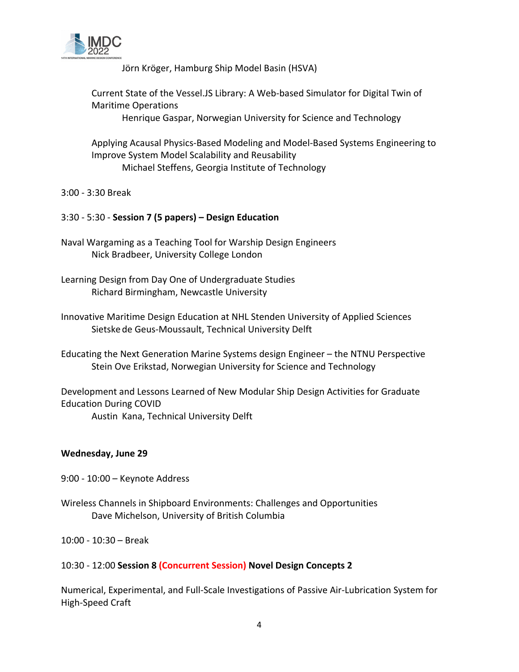

Jörn Kröger, Hamburg Ship Model Basin (HSVA)

Current State of the Vessel.JS Library: A Web‐based Simulator for Digital Twin of Maritime Operations

Henrique Gaspar, Norwegian University for Science and Technology

Applying Acausal Physics‐Based Modeling and Model‐Based Systems Engineering to Improve System Model Scalability and Reusability Michael Steffens, Georgia Institute of Technology

3:00 ‐ 3:30 Break

## 3:30 ‐ 5:30 ‐ **Session 7 (5 papers) – Design Education**

- Naval Wargaming as a Teaching Tool for Warship Design Engineers Nick Bradbeer, University College London
- Learning Design from Day One of Undergraduate Studies Richard Birmingham, Newcastle University
- Innovative Maritime Design Education at NHL Stenden University of Applied Sciences Sietske de Geus‐Moussault, Technical University Delft
- Educating the Next Generation Marine Systems design Engineer the NTNU Perspective Stein Ove Erikstad, Norwegian University for Science and Technology

Development and Lessons Learned of New Modular Ship Design Activities for Graduate Education During COVID

Austin Kana, Technical University Delft

## **Wednesday, June 29**

- 9:00 ‐ 10:00 Keynote Address
- Wireless Channels in Shipboard Environments: Challenges and Opportunities Dave Michelson, University of British Columbia

10:00 ‐ 10:30 – Break

## 10:30 ‐ 12:00 **Session 8 (Concurrent Session) Novel Design Concepts 2**

Numerical, Experimental, and Full‐Scale Investigations of Passive Air‐Lubrication System for High‐Speed Craft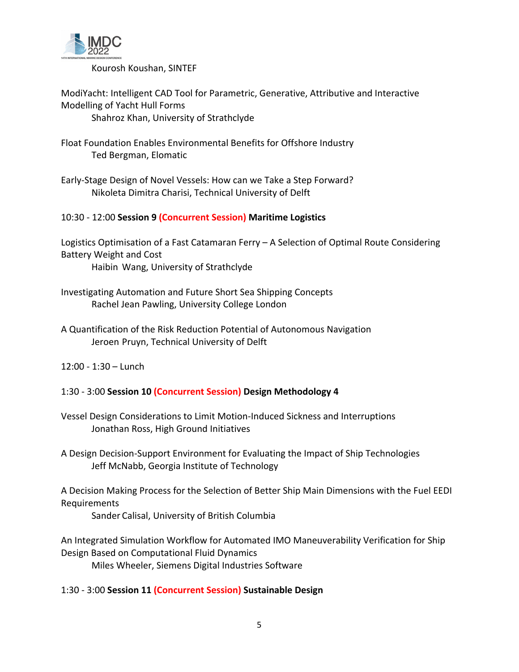

Kourosh Koushan, SINTEF

ModiYacht: Intelligent CAD Tool for Parametric, Generative, Attributive and Interactive Modelling of Yacht Hull Forms Shahroz Khan, University of Strathclyde

Float Foundation Enables Environmental Benefits for Offshore Industry Ted Bergman, Elomatic

Early‐Stage Design of Novel Vessels: How can we Take a Step Forward? Nikoleta Dimitra Charisi, Technical University of Delft

10:30 ‐ 12:00 **Session 9 (Concurrent Session) Maritime Logistics**

Logistics Optimisation of a Fast Catamaran Ferry – A Selection of Optimal Route Considering Battery Weight and Cost Haibin Wang, University of Strathclyde

Investigating Automation and Future Short Sea Shipping Concepts Rachel Jean Pawling, University College London

A Quantification of the Risk Reduction Potential of Autonomous Navigation Jeroen Pruyn, Technical University of Delft

12:00 ‐ 1:30 – Lunch

1:30 ‐ 3:00 **Session 10 (Concurrent Session) Design Methodology 4**

Vessel Design Considerations to Limit Motion‐Induced Sickness and Interruptions Jonathan Ross, High Ground Initiatives

A Design Decision‐Support Environment for Evaluating the Impact of Ship Technologies Jeff McNabb, Georgia Institute of Technology

A Decision Making Process for the Selection of Better Ship Main Dimensions with the Fuel EEDI Requirements

Sander Calisal, University of British Columbia

An Integrated Simulation Workflow for Automated IMO Maneuverability Verification for Ship Design Based on Computational Fluid Dynamics Miles Wheeler, Siemens Digital Industries Software

1:30 ‐ 3:00 **Session 11 (Concurrent Session) Sustainable Design**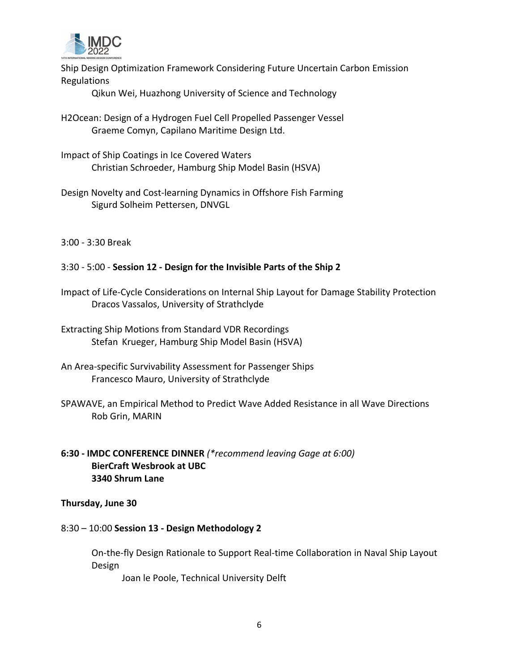

Ship Design Optimization Framework Considering Future Uncertain Carbon Emission Regulations

Qikun Wei, Huazhong University of Science and Technology

- H2Ocean: Design of a Hydrogen Fuel Cell Propelled Passenger Vessel Graeme Comyn, Capilano Maritime Design Ltd.
- Impact of Ship Coatings in Ice Covered Waters Christian Schroeder, Hamburg Ship Model Basin (HSVA)
- Design Novelty and Cost‐learning Dynamics in Offshore Fish Farming Sigurd Solheim Pettersen, DNVGL

3:00 ‐ 3:30 Break

3:30 ‐ 5:00 ‐ **Session 12 ‐ Design for the Invisible Parts of the Ship 2**

Impact of Life‐Cycle Considerations on Internal Ship Layout for Damage Stability Protection Dracos Vassalos, University of Strathclyde

Extracting Ship Motions from Standard VDR Recordings Stefan Krueger, Hamburg Ship Model Basin (HSVA)

- An Area‐specific Survivability Assessment for Passenger Ships Francesco Mauro, University of Strathclyde
- SPAWAVE, an Empirical Method to Predict Wave Added Resistance in all Wave Directions Rob Grin, MARIN
- **6:30 ‐ IMDC CONFERENCE DINNER** *(\*recommend leaving Gage at 6:00)* **BierCraft Wesbrook at UBC 3340 Shrum Lane**

**Thursday, June 30**

8:30 – 10:00 **Session 13 ‐ Design Methodology 2**

On‐the‐fly Design Rationale to Support Real‐time Collaboration in Naval Ship Layout Design

Joan le Poole, Technical University Delft